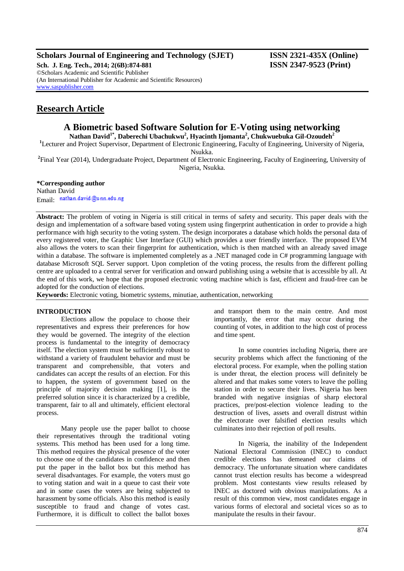## **Scholars Journal of Engineering and Technology (SJET) ISSN 2321-435X (Online)**

**Sch. J. Eng. Tech., 2014; 2(6B):874-881 ISSN 2347-9523 (Print)** ©Scholars Academic and Scientific Publisher (An International Publisher for Academic and Scientific Resources) [www.saspublisher.com](http://www.saspublisher.com/)

# **Research Article**

# **A Biometric based Software Solution for E-Voting using networking**

**Nathan David1\*, Daberechi Ubachukwu<sup>2</sup> , Hyacinth Ijomanta<sup>2</sup> , Chukwuebuka Gil-Ozoudeh<sup>2</sup>**

<sup>1</sup>Lecturer and Project Supervisor, Department of Electronic Engineering, Faculty of Engineering, University of Nigeria, Nsukka.

**2** Final Year (2014), Undergraduate Project, Department of Electronic Engineering, Faculty of Engineering, University of Nigeria, Nsukka.

**\*Corresponding author** Nathan David Email nathan.david@unn.edu.ng

**Abstract:** The problem of voting in Nigeria is still critical in terms of safety and security. This paper deals with the design and implementation of a software based voting system using fingerprint authentication in order to provide a high performance with high security to the voting system. The design incorporates a database which holds the personal data of every registered voter, the Graphic User Interface (GUI) which provides a user friendly interface. The proposed EVM also allows the voters to scan their fingerprint for authentication, which is then matched with an already saved image within a database. The software is implemented completely as a .NET managed code in C# programming language with database Microsoft SQL Server support. Upon completion of the voting process, the results from the different polling centre are uploaded to a central server for verification and onward publishing using a website that is accessible by all. At the end of this work, we hope that the proposed electronic voting machine which is fast, efficient and fraud-free can be adopted for the conduction of elections.

**Keywords:** Electronic voting, biometric systems, minutiae, authentication, networking

## **INTRODUCTION**

Elections allow the populace to choose their representatives and express their preferences for how they would be governed. The integrity of the election process is fundamental to the integrity of democracy itself. The election system must be sufficiently robust to withstand a variety of fraudulent behavior and must be transparent and comprehensible, that voters and candidates can accept the results of an election. For this to happen, the system of government based on the principle of majority decision making [1], is the preferred solution since it is characterized by a credible, transparent, fair to all and ultimately, efficient electoral process.

Many people use the paper ballot to choose their representatives through the traditional voting systems. This method has been used for a long time. This method requires the physical presence of the voter to choose one of the candidates in confidence and then put the paper in the ballot box but this method has several disadvantages. For example, the voters must go to voting station and wait in a queue to cast their vote and in some cases the voters are being subjected to harassment by some officials. Also this method is easily susceptible to fraud and change of votes cast. Furthermore, it is difficult to collect the ballot boxes

and transport them to the main centre. And most importantly, the error that may occur during the counting of votes, in addition to the high cost of process and time spent.

In some countries including Nigeria, there are security problems which affect the functioning of the electoral process. For example, when the polling station is under threat, the election process will definitely be altered and that makes some voters to leave the polling station in order to secure their lives. Nigeria has been branded with negative insignias of sharp electoral practices, pre/post-election violence leading to the destruction of lives, assets and overall distrust within the electorate over falsified election results which culminates into their rejection of poll results.

In Nigeria, the inability of the Independent National Electoral Commission (INEC) to conduct credible elections has demeaned our claims of democracy. The unfortunate situation where candidates cannot trust election results has become a widespread problem. Most contestants view results released by INEC as doctored with obvious manipulations. As a result of this common view, most candidates engage in various forms of electoral and societal vices so as to manipulate the results in their favour.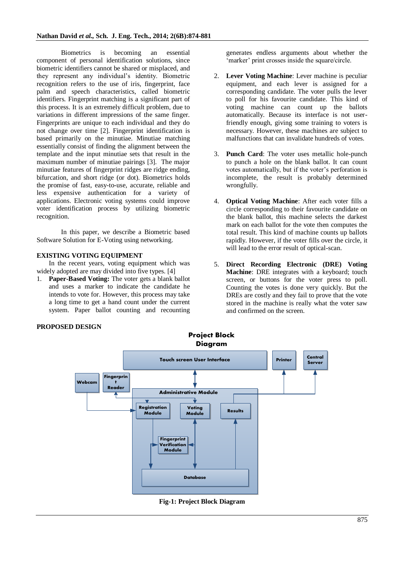Biometrics is becoming an essential component of personal identification solutions, since biometric identifiers cannot be shared or misplaced, and they represent any individual's identity. Biometric recognition refers to the use of iris, fingerprint, face palm and speech characteristics, called biometric identifiers. Fingerprint matching is a significant part of this process. It is an extremely difficult problem, due to variations in different impressions of the same finger. Fingerprints are unique to each individual and they do not change over time [2]. Fingerprint identification is based primarily on the minutiae. Minutiae matching essentially consist of finding the alignment between the template and the input minutiae sets that result in the maximum number of minutiae pairings [3]. The major minutiae features of fingerprint ridges are ridge ending, bifurcation, and short ridge (or dot). Biometrics holds the promise of fast, easy-to-use, accurate, reliable and less expensive authentication for a variety of applications. Electronic voting systems could improve voter identification process by utilizing biometric recognition.

In this paper, we describe a Biometric based Software Solution for E-Voting using networking.

## **EXISTING VOTING EQUIPMENT**

In the recent years, voting equipment which was widely adopted are may divided into five types. [4]

1. **Paper-Based Voting:** The voter gets a blank ballot and uses a marker to indicate the candidate he intends to vote for. However, this process may take a long time to get a hand count under the current system. Paper ballot counting and recounting generates endless arguments about whether the 'marker' print crosses inside the square/circle.

- 2. **Lever Voting Machine**: Lever machine is peculiar equipment, and each lever is assigned for a corresponding candidate. The voter pulls the lever to poll for his favourite candidate. This kind of voting machine can count up the ballots automatically. Because its interface is not userfriendly enough, giving some training to voters is necessary. However, these machines are subject to malfunctions that can invalidate hundreds of votes.
- 3. **Punch Card**: The voter uses metallic hole-punch to punch a hole on the blank ballot. It can count votes automatically, but if the voter's perforation is incomplete, the result is probably determined wrongfully.
- 4. **Optical Voting Machine**: After each voter fills a circle corresponding to their favourite candidate on the blank ballot, this machine selects the darkest mark on each ballot for the vote then computes the total result. This kind of machine counts up ballots rapidly. However, if the voter fills over the circle, it will lead to the error result of optical-scan.
- 5. **Direct Recording Electronic (DRE) Voting Machine**: DRE integrates with a keyboard; touch screen, or buttons for the voter press to poll. Counting the votes is done very quickly. But the DREs are costly and they fail to prove that the vote stored in the machine is really what the voter saw and confirmed on the screen.



**Fig-1: Project Block Diagram**

## **PROPOSED DESIGN**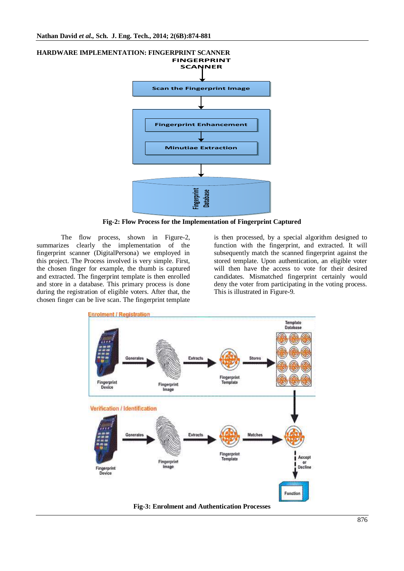

**Fig-2: Flow Process for the Implementation of Fingerprint Captured**

The flow process, shown in Figure-2, summarizes clearly the implementation of the fingerprint scanner (DigitalPersona) we employed in this project. The Process involved is very simple. First, the chosen finger for example, the thumb is captured and extracted. The fingerprint template is then enrolled and store in a database. This primary process is done during the registration of eligible voters. After that, the chosen finger can be live scan. The fingerprint template

is then processed, by a special algorithm designed to function with the fingerprint, and extracted. It will subsequently match the scanned fingerprint against the stored template. Upon authentication, an eligible voter will then have the access to vote for their desired candidates. Mismatched fingerprint certainly would deny the voter from participating in the voting process. This is illustrated in Figure-9.



**HARDWARE IMPLEMENTATION: FINGERPRINT SCANNER**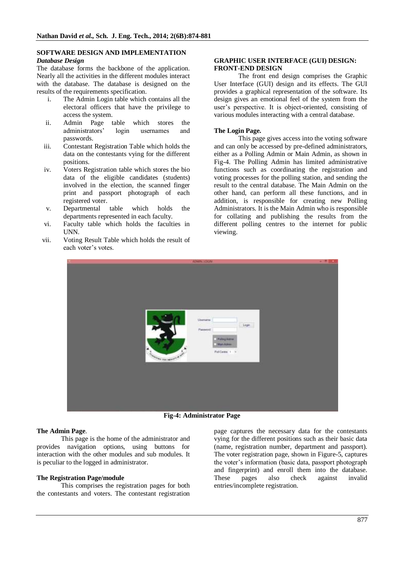## **SOFTWARE DESIGN AND IMPLEMENTATION**

#### *Database Design*

The database forms the backbone of the application. Nearly all the activities in the different modules interact with the database. The database is designed on the results of the requirements specification.

- i. The Admin Login table which contains all the electoral officers that have the privilege to access the system.
- ii. Admin Page table which stores the administrators' login usernames and passwords.
- iii. Contestant Registration Table which holds the data on the contestants vying for the different positions.
- iv. Voters Registration table which stores the bio data of the eligible candidates (students) involved in the election, the scanned finger print and passport photograph of each registered voter.
- v. Departmental table which holds the departments represented in each faculty.
- vi. Faculty table which holds the faculties in UNN.
- vii. Voting Result Table which holds the result of each voter's votes.

#### **GRAPHIC USER INTERFACE (GUI) DESIGN: FRONT-END DESIGN**

The front end design comprises the Graphic User Interface (GUI) design and its effects. The GUI provides a graphical representation of the software. Its design gives an emotional feel of the system from the user's perspective. It is object-oriented, consisting of various modules interacting with a central database.

#### **The Login Page.**

This page gives access into the voting software and can only be accessed by pre-defined administrators, either as a Polling Admin or Main Admin, as shown in Fig-4. The Polling Admin has limited administrative functions such as coordinating the registration and voting processes for the polling station, and sending the result to the central database. The Main Admin on the other hand, can perform all these functions, and in addition, is responsible for creating new Polling Administrators. It is the Main Admin who is responsible for collating and publishing the results from the different polling centres to the internet for public viewing.



**Fig-4: Administrator Page**

#### **The Admin Page**.

This page is the home of the administrator and provides navigation options, using buttons for interaction with the other modules and sub modules. It is peculiar to the logged in administrator.

#### **The Registration Page/module**

This comprises the registration pages for both the contestants and voters. The contestant registration

page captures the necessary data for the contestants vying for the different positions such as their basic data (name, registration number, department and passport). The voter registration page, shown in Figure-5, captures the voter's information (basic data, passport photograph and fingerprint) and enroll them into the database. These pages also check against invalid entries/incomplete registration.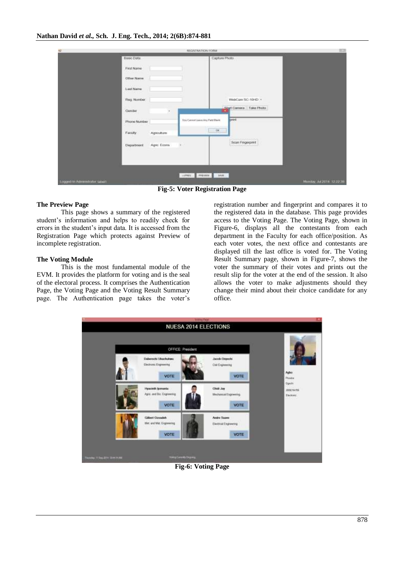|                              |                                                             | REGISTRATION FORM                |                         | m                         |
|------------------------------|-------------------------------------------------------------|----------------------------------|-------------------------|---------------------------|
|                              | Basc Data                                                   |                                  | Capture Photo           |                           |
|                              | <b>Contractor and Co</b><br>First Name<br><b>Contractor</b> |                                  |                         |                           |
|                              | Other Name                                                  |                                  |                         |                           |
|                              | <b>URLESS AND LO</b><br>Liest Name<br><b>STEADUS</b>        |                                  |                         |                           |
|                              | Reg. Number                                                 |                                  | WebCam SC-10HD +        |                           |
|                              | Conder<br>×                                                 |                                  | Start Camera Take Photo |                           |
|                              | Phone Number                                                | You Carent Lisers Any Part Blank | <b>Smrt</b>             |                           |
|                              | Fanaty<br>Agnouture                                         |                                  | $-100$                  |                           |
|                              | Department<br>Agric Econs                                   | $\sim$                           | Scan Fingerprint        |                           |
|                              |                                                             |                                  |                         |                           |
|                              |                                                             |                                  |                         |                           |
|                              |                                                             | corner. Presence in the p        |                         |                           |
| Logged in Attractator speci- |                                                             |                                  |                         | Monday, Jul 2014 12:22:39 |

**Fig-5: Voter Registration Page**

## **The Preview Page**

This page shows a summary of the registered student's information and helps to readily check for errors in the student's input data. It is accessed from the Registration Page which protects against Preview of incomplete registration.

## **The Voting Module**

This is the most fundamental module of the EVM. It provides the platform for voting and is the seal of the electoral process. It comprises the Authentication Page, the Voting Page and the Voting Result Summary page. The Authentication page takes the voter's

registration number and fingerprint and compares it to the registered data in the database. This page provides access to the Voting Page. The Voting Page, shown in Figure-6, displays all the contestants from each department in the Faculty for each office/position. As each voter votes, the next office and contestants are displayed till the last office is voted for. The Voting Result Summary page, shown in Figure-7, shows the voter the summary of their votes and prints out the result slip for the voter at the end of the session. It also allows the voter to make adjustments should they change their mind about their choice candidate for any office.



**Fig-6: Voting Page**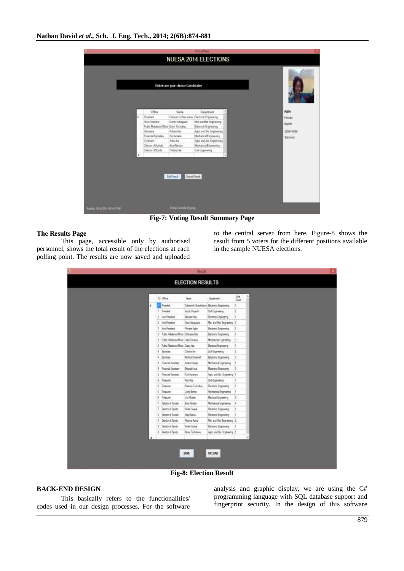

**Fig-7: Voting Result Summary Page**

#### **The Results Page**

This page, accessible only by authorised personnel, shows the total result of the elections at each polling point. The results are now saved and uploaded to the central server from here. Figure-8 shows the result from 5 voters for the different positions available in the sample NUESA elections.

|   |     | 0 0 <sub>c</sub>                      | <b>Name</b>                       | <b>Dealtriet</b>             | Voe<br>Court   |
|---|-----|---------------------------------------|-----------------------------------|------------------------------|----------------|
| × |     | <b>Franket</b>                        | Salamsh Usahukru Bedong Espinaing |                              | lä.            |
|   | ÷   | Freschet                              | <b>Jacob Orgachy</b>              | Dul Engreening               | r              |
|   | z   | <b>Mon-President</b>                  | Boson fits                        | Becoust Engineering          | it.            |
|   |     | 2. Vice Freeders                      | Day Noapule                       | Md. and Rat. Engineering 12  |                |
|   |     | 2 Vice President                      | Phoebe Agbor                      | Betten: Espressy             | 12             |
|   | lä. | Fuld: Teleform Officer Children Bio-  |                                   | Becound: Engineering         | Ħ.             |
|   |     | 3 Fuble Relatore Officer: Oate Diskwa |                                   | Mechanical Engineering       | $\overline{3}$ |
|   | ш   | Rusic Relations Officer Date Ada      |                                   | Bettol Experts               | H.             |
|   | x   | Secretary                             | Chana Art                         | Dut Engineering              | 2              |
|   | ä.  | Secretary                             | <b>Berlata Droement</b>           | Becton: Expiremy             | ×              |
|   |     | 1 Francial Secretary                  | Amers Groppel                     | Mechanical Engineering       | n.             |
|   |     | 5 Francial Secretary                  | Emest Are                         | Becronic Engreemy            | $\vert$ 3      |
|   | lš. | Financial Secretary                   | An Kranye                         | Apc. and Bic Engreening T    |                |
|   | E   | Teaun                                 | Att-Use                           | DVI Expreesing               | lt.            |
|   | ĸ   | Teaurer                               | Noterra Tachukeu.                 | Betton: Expressy             | t.             |
|   | ĸ   | <b>Imager</b>                         | <b>Ude Brry</b>                   | Mechanical Empreseng         | ł.             |
|   | Ŧ   | <b>Deputy</b>                         | <b>Max Rubee</b>                  | Becilical Engineering        | IZ.            |
|   | Ħ   | Detector of Sociale                   | <b>Post finds</b>                 | Mechanical Expressing        | u.             |
|   | E.  | Drector of Sports                     | <b>Jede Surve</b>                 | <b>Bechove</b> Engineering   | h.             |
|   | B.  | Drestor of Socials                    | Sta Hakou                         | Beito's Exposing             |                |
|   |     | II Director of Sports                 | Alunes Kurie                      | Met. and Rist. Expressing 12 |                |
|   |     | 1 Dredonal Spate                      | Andre Spave                       | Bechovic Engineery           | п.             |
|   | ı.  | Director of Sports                    | <b>Kray Techulruy</b>             | Age, and the Engineering 1   |                |
|   |     |                                       |                                   |                              |                |

**Fig-8: Election Result**

#### **BACK-END DESIGN**

This basically refers to the functionalities/ codes used in our design processes. For the software

analysis and graphic display, we are using the C# programming language with SQL database support and fingerprint security. In the design of this software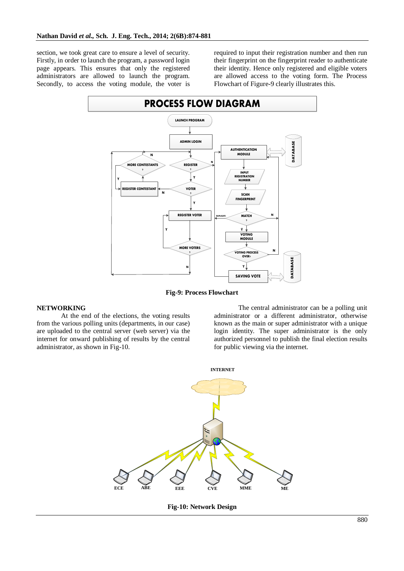section, we took great care to ensure a level of security. Firstly, in order to launch the program, a password login page appears. This ensures that only the registered administrators are allowed to launch the program. Secondly, to access the voting module, the voter is

required to input their registration number and then run their fingerprint on the fingerprint reader to authenticate their identity. Hence only registered and eligible voters are allowed access to the voting form. The Process Flowchart of Figure-9 clearly illustrates this.



**Fig-9: Process Flowchart**

#### **NETWORKING**

At the end of the elections, the voting results from the various polling units (departments, in our case) are uploaded to the central server (web server) via the internet for onward publishing of results by the central administrator, as shown in Fig-10.

The central administrator can be a polling unit administrator or a different administrator, otherwise known as the main or super administrator with a unique login identity. The super administrator is the only authorized personnel to publish the final election results for public viewing via the internet.



**Fig-10: Network Design**